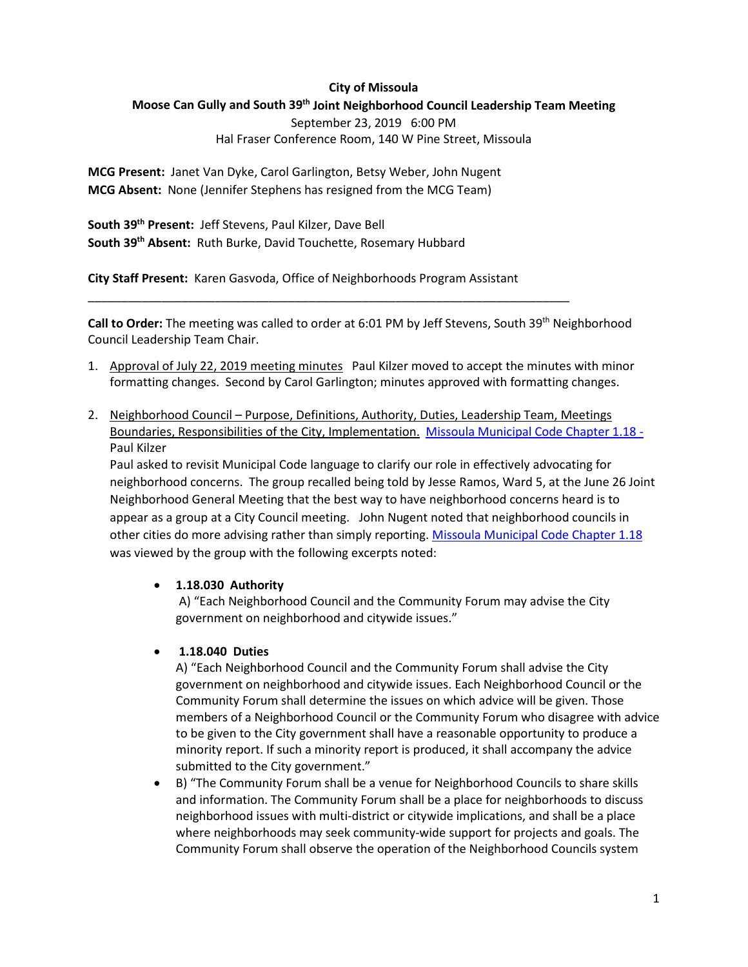#### **City of Missoula**

#### **Moose Can Gully and South 39th Joint Neighborhood Council Leadership Team Meeting**

September 23, 2019 6:00 PM

#### Hal Fraser Conference Room, 140 W Pine Street, Missoula

**MCG Present:** Janet Van Dyke, Carol Garlington, Betsy Weber, John Nugent **MCG Absent:** None (Jennifer Stephens has resigned from the MCG Team)

**South 39th Present:** Jeff Stevens, Paul Kilzer, Dave Bell **South 39th Absent:** Ruth Burke, David Touchette, Rosemary Hubbard

**City Staff Present:** Karen Gasvoda, Office of Neighborhoods Program Assistant

\_\_\_\_\_\_\_\_\_\_\_\_\_\_\_\_\_\_\_\_\_\_\_\_\_\_\_\_\_\_\_\_\_\_\_\_\_\_\_\_\_\_\_\_\_\_\_\_\_\_\_\_\_\_\_\_\_\_\_\_\_\_\_\_\_\_\_\_\_\_\_\_

Call to Order: The meeting was called to order at 6:01 PM by Jeff Stevens, South 39<sup>th</sup> Neighborhood Council Leadership Team Chair.

- 1. Approval of July 22, 2019 meeting minutes Paul Kilzer moved to accept the minutes with minor formatting changes. Second by Carol Garlington; minutes approved with formatting changes.
- 2. Neighborhood Council Purpose, Definitions, Authority, Duties, Leadership Team, Meetings Boundaries, Responsibilities of the City, Implementation. [Missoula Municipal Code Chapter 1.18](https://www.ci.missoula.mt.us/DocumentCenter/View/1024/Municipal-Code-Title-01-General-Provisions?bidId=Number%20Chapter1_18#Chapter1_18) - Paul Kilzer

Paul asked to revisit Municipal Code language to clarify our role in effectively advocating for neighborhood concerns. The group recalled being told by Jesse Ramos, Ward 5, at the June 26 Joint Neighborhood General Meeting that the best way to have neighborhood concerns heard is to appear as a group at a City Council meeting. John Nugent noted that neighborhood councils in other cities do more advising rather than simply reporting. [Missoula Municipal Code](https://www.ci.missoula.mt.us/DocumentCenter/View/1024/Municipal-Code-Title-01-General-Provisions?bidId=Number%20Chapter1_18#Chapter1_18) Chapter 1.18 was viewed by the group with the following excerpts noted:

### • **1.18.030 Authority**

A) "Each Neighborhood Council and the Community Forum may advise the City government on neighborhood and citywide issues."

### • **1.18.040 Duties**

A) "Each Neighborhood Council and the Community Forum shall advise the City government on neighborhood and citywide issues. Each Neighborhood Council or the Community Forum shall determine the issues on which advice will be given. Those members of a Neighborhood Council or the Community Forum who disagree with advice to be given to the City government shall have a reasonable opportunity to produce a minority report. If such a minority report is produced, it shall accompany the advice submitted to the City government."

• B) "The Community Forum shall be a venue for Neighborhood Councils to share skills and information. The Community Forum shall be a place for neighborhoods to discuss neighborhood issues with multi-district or citywide implications, and shall be a place where neighborhoods may seek community-wide support for projects and goals. The Community Forum shall observe the operation of the Neighborhood Councils system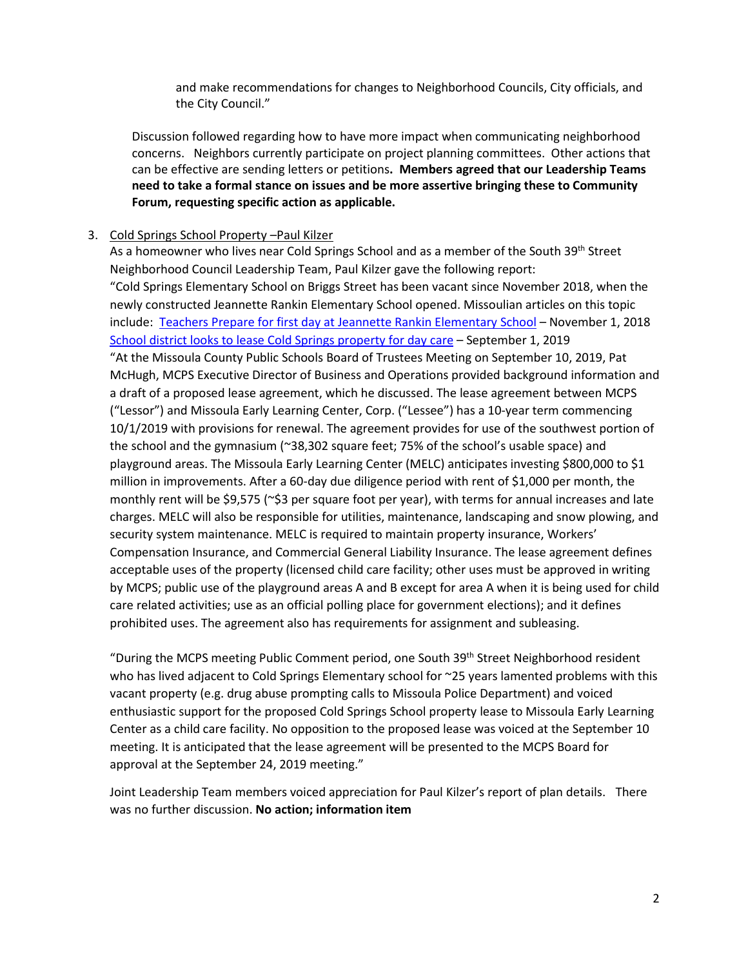and make recommendations for changes to Neighborhood Councils, City officials, and the City Council."

Discussion followed regarding how to have more impact when communicating neighborhood concerns. Neighbors currently participate on project planning committees. Other actions that can be effective are sending letters or petitions**. Members agreed that our Leadership Teams need to take a formal stance on issues and be more assertive bringing these to Community Forum, requesting specific action as applicable.**

### 3. Cold Springs School Property –Paul Kilzer

As a homeowner who lives near Cold Springs School and as a member of the South 39th Street Neighborhood Council Leadership Team, Paul Kilzer gave the following report: "Cold Springs Elementary School on Briggs Street has been vacant since November 2018, when the newly constructed Jeannette Rankin Elementary School opened. Missoulian articles on this topic include: [Teachers Prepare for first day at Jeannette Rankin Elementary School](https://missoulian.com/news/local/teachers-prepare-for-first-day-at-new-jeannette-rankin-elementary/article_2d890c1d-62c7-5cdc-9487-99ce82cb0294.html) - November 1, 2018 [School district looks to lease Cold Springs property for day care](https://missoulian.com/news/local/school-district-looks-to-lease-cold-springs-property-for-day/article_65fb2449-d727-591e-983c-a242c0d780fe.html) – September 1, 2019 "At the Missoula County Public Schools Board of Trustees Meeting on September 10, 2019, Pat McHugh, MCPS Executive Director of Business and Operations provided background information and a draft of a proposed lease agreement, which he discussed. The lease agreement between MCPS ("Lessor") and Missoula Early Learning Center, Corp. ("Lessee") has a 10-year term commencing 10/1/2019 with provisions for renewal. The agreement provides for use of the southwest portion of the school and the gymnasium (~38,302 square feet; 75% of the school's usable space) and playground areas. The Missoula Early Learning Center (MELC) anticipates investing \$800,000 to \$1 million in improvements. After a 60-day due diligence period with rent of \$1,000 per month, the monthly rent will be \$9,575 (~\$3 per square foot per year), with terms for annual increases and late charges. MELC will also be responsible for utilities, maintenance, landscaping and snow plowing, and security system maintenance. MELC is required to maintain property insurance, Workers' Compensation Insurance, and Commercial General Liability Insurance. The lease agreement defines acceptable uses of the property (licensed child care facility; other uses must be approved in writing by MCPS; public use of the playground areas A and B except for area A when it is being used for child care related activities; use as an official polling place for government elections); and it defines prohibited uses. The agreement also has requirements for assignment and subleasing.

"During the MCPS meeting Public Comment period, one South 39<sup>th</sup> Street Neighborhood resident who has lived adjacent to Cold Springs Elementary school for ~25 years lamented problems with this vacant property (e.g. drug abuse prompting calls to Missoula Police Department) and voiced enthusiastic support for the proposed Cold Springs School property lease to Missoula Early Learning Center as a child care facility. No opposition to the proposed lease was voiced at the September 10 meeting. It is anticipated that the lease agreement will be presented to the MCPS Board for approval at the September 24, 2019 meeting."

Joint Leadership Team members voiced appreciation for Paul Kilzer's report of plan details. There was no further discussion. **No action; information item**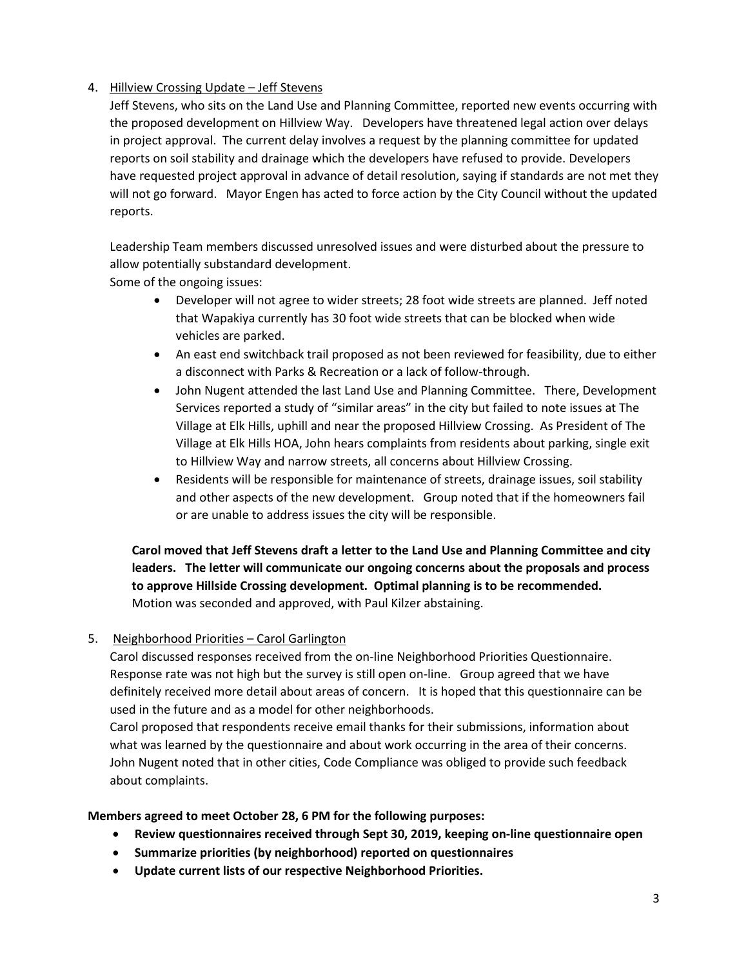## 4. Hillview Crossing Update – Jeff Stevens

Jeff Stevens, who sits on the Land Use and Planning Committee, reported new events occurring with the proposed development on Hillview Way. Developers have threatened legal action over delays in project approval. The current delay involves a request by the planning committee for updated reports on soil stability and drainage which the developers have refused to provide. Developers have requested project approval in advance of detail resolution, saying if standards are not met they will not go forward. Mayor Engen has acted to force action by the City Council without the updated reports.

Leadership Team members discussed unresolved issues and were disturbed about the pressure to allow potentially substandard development.

Some of the ongoing issues:

- Developer will not agree to wider streets; 28 foot wide streets are planned. Jeff noted that Wapakiya currently has 30 foot wide streets that can be blocked when wide vehicles are parked.
- An east end switchback trail proposed as not been reviewed for feasibility, due to either a disconnect with Parks & Recreation or a lack of follow-through.
- John Nugent attended the last Land Use and Planning Committee. There, Development Services reported a study of "similar areas" in the city but failed to note issues at The Village at Elk Hills, uphill and near the proposed Hillview Crossing. As President of The Village at Elk Hills HOA, John hears complaints from residents about parking, single exit to Hillview Way and narrow streets, all concerns about Hillview Crossing.
- Residents will be responsible for maintenance of streets, drainage issues, soil stability and other aspects of the new development. Group noted that if the homeowners fail or are unable to address issues the city will be responsible.

**Carol moved that Jeff Stevens draft a letter to the Land Use and Planning Committee and city leaders. The letter will communicate our ongoing concerns about the proposals and process to approve Hillside Crossing development. Optimal planning is to be recommended.**  Motion was seconded and approved, with Paul Kilzer abstaining.

# 5. Neighborhood Priorities – Carol Garlington

Carol discussed responses received from the on-line Neighborhood Priorities Questionnaire. Response rate was not high but the survey is still open on-line. Group agreed that we have definitely received more detail about areas of concern. It is hoped that this questionnaire can be used in the future and as a model for other neighborhoods.

Carol proposed that respondents receive email thanks for their submissions, information about what was learned by the questionnaire and about work occurring in the area of their concerns. John Nugent noted that in other cities, Code Compliance was obliged to provide such feedback about complaints.

### **Members agreed to meet October 28, 6 PM for the following purposes:**

- **Review questionnaires received through Sept 30, 2019, keeping on-line questionnaire open**
- **Summarize priorities (by neighborhood) reported on questionnaires**
- **Update current lists of our respective Neighborhood Priorities.**